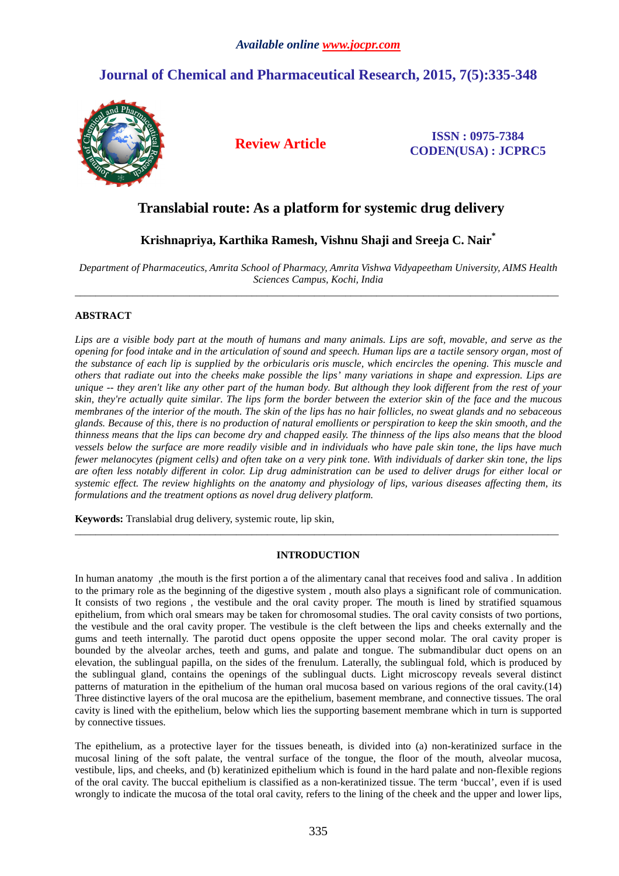# **Journal of Chemical and Pharmaceutical Research, 2015, 7(5):335-348**



**Review Article ISSN : 0975-7384 CODEN(USA) : JCPRC5**

# **Translabial route: As a platform for systemic drug delivery**

# **Krishnapriya, Karthika Ramesh, Vishnu Shaji and Sreeja C. Nair\***

*Department of Pharmaceutics, Amrita School of Pharmacy, Amrita Vishwa Vidyapeetham University, AIMS Health Sciences Campus, Kochi, India*  \_\_\_\_\_\_\_\_\_\_\_\_\_\_\_\_\_\_\_\_\_\_\_\_\_\_\_\_\_\_\_\_\_\_\_\_\_\_\_\_\_\_\_\_\_\_\_\_\_\_\_\_\_\_\_\_\_\_\_\_\_\_\_\_\_\_\_\_\_\_\_\_\_\_\_\_\_\_\_\_\_\_\_\_\_\_\_\_\_\_\_\_\_

## **ABSTRACT**

*Lips are a visible body part at the mouth of humans and many animals. Lips are soft, movable, and serve as the opening for food intake and in the articulation of sound and speech. Human lips are a tactile sensory organ, most of the substance of each lip is supplied by the orbicularis oris muscle, which encircles the opening. This muscle and others that radiate out into the cheeks make possible the lips' many variations in shape and expression. Lips are unique -- they aren't like any other part of the human body. But although they look different from the rest of your skin, they're actually quite similar. The lips form the border between the exterior skin of the face and the mucous membranes of the interior of the mouth. The skin of the lips has no hair follicles, no sweat glands and no sebaceous glands. Because of this, there is no production of natural emollients or perspiration to keep the skin smooth, and the thinness means that the lips can become dry and chapped easily. The thinness of the lips also means that the blood vessels below the surface are more readily visible and in individuals who have pale skin tone, the lips have much fewer melanocytes (pigment cells) and often take on a very pink tone. With individuals of darker skin tone, the lips are often less notably different in color. Lip drug administration can be used to deliver drugs for either local or systemic effect. The review highlights on the anatomy and physiology of lips, various diseases affecting them, its formulations and the treatment options as novel drug delivery platform.* 

**Keywords:** Translabial drug delivery, systemic route, lip skin,

## **INTRODUCTION**

\_\_\_\_\_\_\_\_\_\_\_\_\_\_\_\_\_\_\_\_\_\_\_\_\_\_\_\_\_\_\_\_\_\_\_\_\_\_\_\_\_\_\_\_\_\_\_\_\_\_\_\_\_\_\_\_\_\_\_\_\_\_\_\_\_\_\_\_\_\_\_\_\_\_\_\_\_\_\_\_\_\_\_\_\_\_\_\_\_\_\_\_\_

In human anatomy ,the mouth is the first portion a of the alimentary canal that receives food and saliva . In addition to the primary role as the beginning of the digestive system , mouth also plays a significant role of communication. It consists of two regions , the vestibule and the oral cavity proper. The mouth is lined by stratified squamous epithelium, from which oral smears may be taken for chromosomal studies. The oral cavity consists of two portions, the vestibule and the oral cavity proper. The vestibule is the cleft between the lips and cheeks externally and the gums and teeth internally. The parotid duct opens opposite the upper second molar. The oral cavity proper is bounded by the alveolar arches, teeth and gums, and palate and tongue. The submandibular duct opens on an elevation, the sublingual papilla, on the sides of the frenulum. Laterally, the sublingual fold, which is produced by the sublingual gland, contains the openings of the sublingual ducts. Light microscopy reveals several distinct patterns of maturation in the epithelium of the human oral mucosa based on various regions of the oral cavity.(14) Three distinctive layers of the oral mucosa are the epithelium, basement membrane, and connective tissues. The oral cavity is lined with the epithelium, below which lies the supporting basement membrane which in turn is supported by connective tissues.

The epithelium, as a protective layer for the tissues beneath, is divided into (a) non-keratinized surface in the mucosal lining of the soft palate, the ventral surface of the tongue, the floor of the mouth, alveolar mucosa, vestibule, lips, and cheeks, and (b) keratinized epithelium which is found in the hard palate and non-flexible regions of the oral cavity. The buccal epithelium is classified as a non-keratinized tissue. The term 'buccal', even if is used wrongly to indicate the mucosa of the total oral cavity, refers to the lining of the cheek and the upper and lower lips,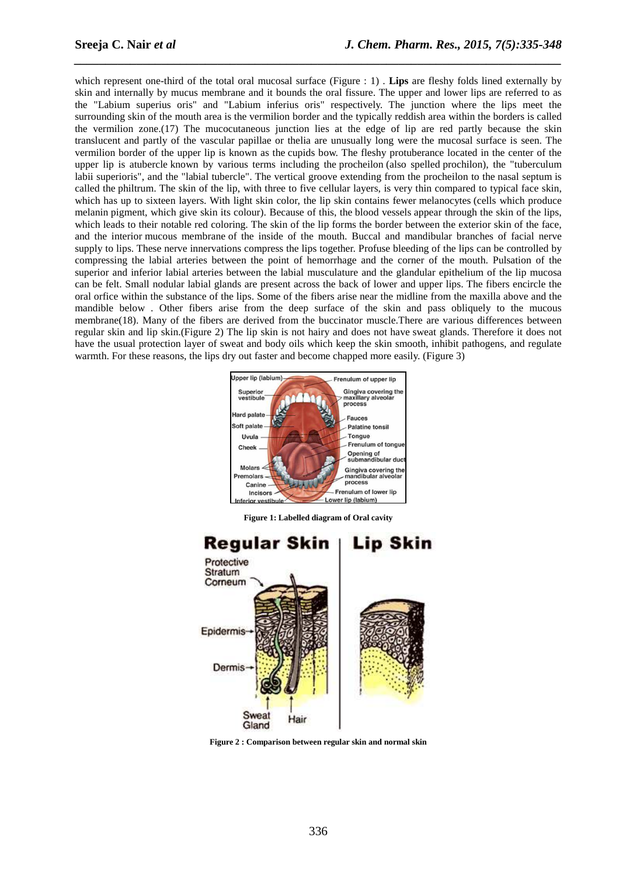which represent one-third of the total oral mucosal surface (Figure : 1). **Lips** are fleshy folds lined externally by skin and internally by mucus membrane and it bounds the oral fissure. The upper and lower lips are referred to as the "Labium superius oris" and "Labium inferius oris" respectively. The junction where the lips meet the surrounding skin of the mouth area is the vermilion border and the typically reddish area within the borders is called the vermilion zone.(17) The mucocutaneous junction lies at the edge of lip are red partly because the skin translucent and partly of the vascular papillae or thelia are unusually long were the mucosal surface is seen. The vermilion border of the upper lip is known as the cupids bow. The fleshy protuberance located in the center of the upper lip is atubercle known by various terms including the procheilon (also spelled prochilon), the "tuberculum labii superioris", and the "labial tubercle". The vertical groove extending from the procheilon to the nasal septum is called the philtrum. The skin of the lip, with three to five cellular layers, is very thin compared to typical face skin, which has up to sixteen layers. With light skin color, the lip skin contains fewer melanocytes (cells which produce melanin pigment, which give skin its colour). Because of this, the blood vessels appear through the skin of the lips, which leads to their notable red coloring. The skin of the lip forms the border between the exterior skin of the face, and the interior mucous membrane of the inside of the mouth. Buccal and mandibular branches of facial nerve supply to lips. These nerve innervations compress the lips together. Profuse bleeding of the lips can be controlled by compressing the labial arteries between the point of hemorrhage and the corner of the mouth. Pulsation of the superior and inferior labial arteries between the labial musculature and the glandular epithelium of the lip mucosa can be felt. Small nodular labial glands are present across the back of lower and upper lips. The fibers encircle the oral orfice within the substance of the lips. Some of the fibers arise near the midline from the maxilla above and the mandible below . Other fibers arise from the deep surface of the skin and pass obliquely to the mucous membrane(18). Many of the fibers are derived from the buccinator muscle.There are various differences between regular skin and lip skin.(Figure 2) The lip skin is not hairy and does not have sweat glands. Therefore it does not have the usual protection layer of sweat and body oils which keep the skin smooth, inhibit pathogens, and regulate warmth. For these reasons, the lips dry out faster and become chapped more easily. (Figure 3)

*\_\_\_\_\_\_\_\_\_\_\_\_\_\_\_\_\_\_\_\_\_\_\_\_\_\_\_\_\_\_\_\_\_\_\_\_\_\_\_\_\_\_\_\_\_\_\_\_\_\_\_\_\_\_\_\_\_\_\_\_\_\_\_\_\_\_\_\_\_\_\_\_\_\_\_\_\_\_*



**Figure 1: Labelled diagram of Oral cavity** 



**Figure 2 : Comparison between regular skin and normal skin**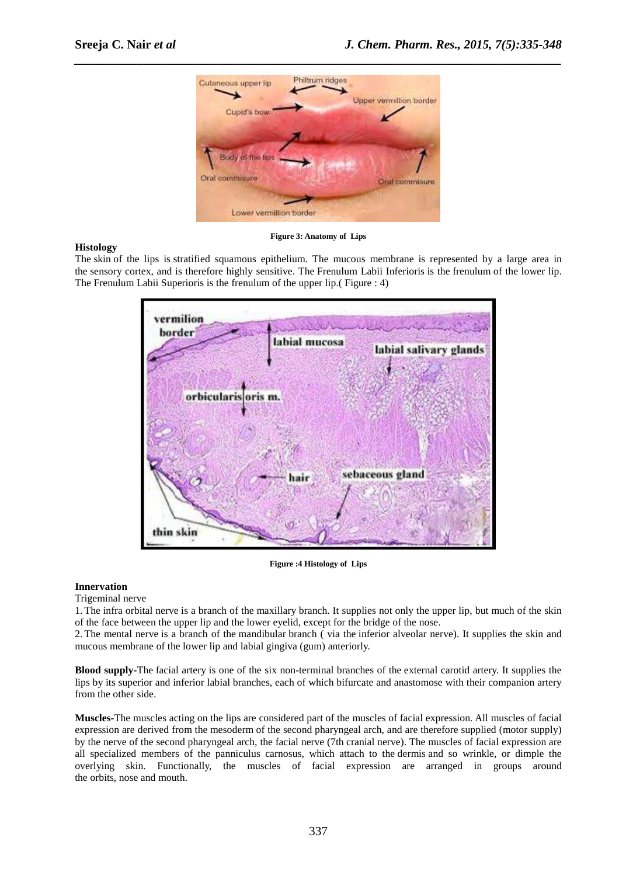**Histology** 



## **Figure 3: Anatomy of Lips**

The skin of the lips is stratified squamous epithelium. The mucous membrane is represented by a large area in the sensory cortex, and is therefore highly sensitive. The Frenulum Labii Inferioris is the frenulum of the lower lip. The Frenulum Labii Superioris is the frenulum of the upper lip.( Figure : 4)



**Figure :4 Histology of Lips** 

## **Innervation**

Trigeminal nerve

1.The infra orbital nerve is a branch of the maxillary branch. It supplies not only the upper lip, but much of the skin of the face between the upper lip and the lower eyelid, except for the bridge of the nose.

2.The mental nerve is a branch of the mandibular branch ( via the inferior alveolar nerve). It supplies the skin and mucous membrane of the lower lip and labial gingiva (gum) anteriorly.

**Blood supply-**The facial artery is one of the six non-terminal branches of the external carotid artery. It supplies the lips by its superior and inferior labial branches, each of which bifurcate and anastomose with their companion artery from the other side.

**Muscles-**The muscles acting on the lips are considered part of the muscles of facial expression. All muscles of facial expression are derived from the mesoderm of the second pharyngeal arch, and are therefore supplied (motor supply) by the nerve of the second pharyngeal arch, the facial nerve (7th cranial nerve). The muscles of facial expression are all specialized members of the panniculus carnosus, which attach to the dermis and so wrinkle, or dimple the overlying skin. Functionally, the muscles of facial expression are arranged in groups around the orbits, nose and mouth.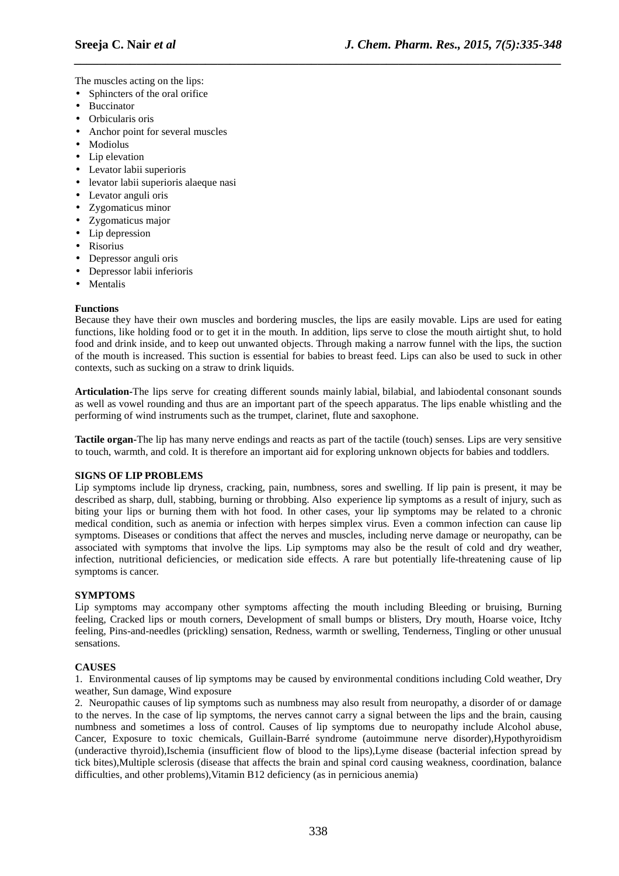The muscles acting on the lips:

- Sphincters of the oral orifice
- **Buccinator**
- Orbicularis oris
- Anchor point for several muscles
- Modiolus
- Lip elevation
- Levator labii superioris
- levator labii superioris alaeque nasi
- Levator anguli oris
- Zygomaticus minor
- Zygomaticus major
- Lip depression
- Risorius
- Depressor anguli oris
- Depressor labii inferioris
- Mentalis

## **Functions**

Because they have their own muscles and bordering muscles, the lips are easily movable. Lips are used for eating functions, like holding food or to get it in the mouth. In addition, lips serve to close the mouth airtight shut, to hold food and drink inside, and to keep out unwanted objects. Through making a narrow funnel with the lips, the suction of the mouth is increased. This suction is essential for babies to breast feed. Lips can also be used to suck in other contexts, such as sucking on a straw to drink liquids.

*\_\_\_\_\_\_\_\_\_\_\_\_\_\_\_\_\_\_\_\_\_\_\_\_\_\_\_\_\_\_\_\_\_\_\_\_\_\_\_\_\_\_\_\_\_\_\_\_\_\_\_\_\_\_\_\_\_\_\_\_\_\_\_\_\_\_\_\_\_\_\_\_\_\_\_\_\_\_*

**Articulation-**The lips serve for creating different sounds mainly labial, bilabial, and labiodental consonant sounds as well as vowel rounding and thus are an important part of the speech apparatus. The lips enable whistling and the performing of wind instruments such as the trumpet, clarinet, flute and saxophone.

**Tactile organ-**The lip has many nerve endings and reacts as part of the tactile (touch) senses. Lips are very sensitive to touch, warmth, and cold. It is therefore an important aid for exploring unknown objects for babies and toddlers.

## **SIGNS OF LIP PROBLEMS**

Lip symptoms include lip dryness, cracking, pain, numbness, sores and swelling. If lip pain is present, it may be described as sharp, dull, stabbing, burning or throbbing. Also experience lip symptoms as a result of injury, such as biting your lips or burning them with hot food. In other cases, your lip symptoms may be related to a chronic medical condition, such as anemia or infection with herpes simplex virus. Even a common infection can cause lip symptoms. Diseases or conditions that affect the nerves and muscles, including nerve damage or neuropathy, can be associated with symptoms that involve the lips. Lip symptoms may also be the result of cold and dry weather, infection, nutritional deficiencies, or medication side effects. A rare but potentially life-threatening cause of lip symptoms is cancer.

## **SYMPTOMS**

Lip symptoms may accompany other symptoms affecting the mouth including Bleeding or bruising, Burning feeling, Cracked lips or mouth corners, Development of small bumps or blisters, Dry mouth, Hoarse voice, Itchy feeling, Pins-and-needles (prickling) sensation, Redness, warmth or swelling, Tenderness, Tingling or other unusual sensations.

## **CAUSES**

1. Environmental causes of lip symptoms may be caused by environmental conditions including Cold weather, Dry weather, Sun damage, Wind exposure

2. Neuropathic causes of lip symptoms such as numbness may also result from neuropathy, a disorder of or damage to the nerves. In the case of lip symptoms, the nerves cannot carry a signal between the lips and the brain, causing numbness and sometimes a loss of control. Causes of lip symptoms due to neuropathy include Alcohol abuse, Cancer, Exposure to toxic chemicals, Guillain-Barré syndrome (autoimmune nerve disorder),Hypothyroidism (underactive thyroid),Ischemia (insufficient flow of blood to the lips),Lyme disease (bacterial infection spread by tick bites),Multiple sclerosis (disease that affects the brain and spinal cord causing weakness, coordination, balance difficulties, and other problems),Vitamin B12 deficiency (as in pernicious anemia)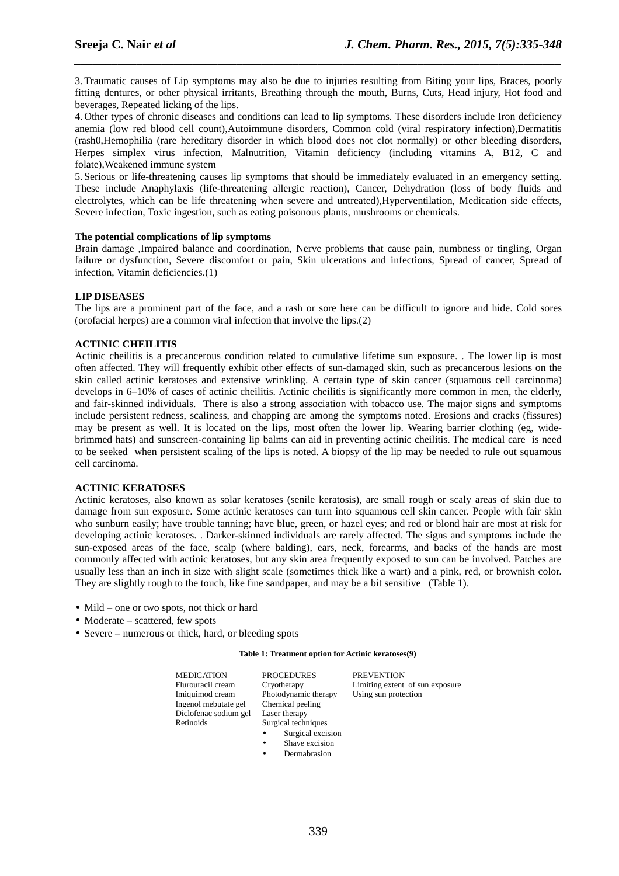3.Traumatic causes of Lip symptoms may also be due to injuries resulting from Biting your lips, Braces, poorly fitting dentures, or other physical irritants, Breathing through the mouth, Burns, Cuts, Head injury, Hot food and beverages, Repeated licking of the lips.

*\_\_\_\_\_\_\_\_\_\_\_\_\_\_\_\_\_\_\_\_\_\_\_\_\_\_\_\_\_\_\_\_\_\_\_\_\_\_\_\_\_\_\_\_\_\_\_\_\_\_\_\_\_\_\_\_\_\_\_\_\_\_\_\_\_\_\_\_\_\_\_\_\_\_\_\_\_\_*

4. Other types of chronic diseases and conditions can lead to lip symptoms. These disorders include Iron deficiency anemia (low red blood cell count),Autoimmune disorders, Common cold (viral respiratory infection),Dermatitis (rash0,Hemophilia (rare hereditary disorder in which blood does not clot normally) or other bleeding disorders, Herpes simplex virus infection, Malnutrition, Vitamin deficiency (including vitamins A, B12, C and folate),Weakened immune system

5. Serious or life-threatening causes lip symptoms that should be immediately evaluated in an emergency setting. These include Anaphylaxis (life-threatening allergic reaction), Cancer, Dehydration (loss of body fluids and electrolytes, which can be life threatening when severe and untreated),Hyperventilation, Medication side effects, Severe infection, Toxic ingestion, such as eating poisonous plants, mushrooms or chemicals.

#### **The potential complications of lip symptoms**

Brain damage ,Impaired balance and coordination, Nerve problems that cause pain, numbness or tingling, Organ failure or dysfunction, Severe discomfort or pain, Skin ulcerations and infections, Spread of cancer, Spread of infection, Vitamin deficiencies.(1)

## **LIP DISEASES**

The lips are a prominent part of the face, and a rash or sore here can be difficult to ignore and hide. Cold sores (orofacial herpes) are a common viral infection that involve the lips.(2)

## **ACTINIC CHEILITIS**

Actinic cheilitis is a precancerous condition related to cumulative lifetime sun exposure. . The lower lip is most often affected. They will frequently exhibit other effects of sun-damaged skin, such as precancerous lesions on the skin called actinic keratoses and extensive wrinkling. A certain type of skin cancer (squamous cell carcinoma) develops in 6–10% of cases of actinic cheilitis. Actinic cheilitis is significantly more common in men, the elderly, and fair-skinned individuals. There is also a strong association with tobacco use. The major signs and symptoms include persistent redness, scaliness, and chapping are among the symptoms noted. Erosions and cracks (fissures) may be present as well. It is located on the lips, most often the lower lip. Wearing barrier clothing (eg, widebrimmed hats) and sunscreen-containing lip balms can aid in preventing actinic cheilitis. The medical care is need to be seeked when persistent scaling of the lips is noted. A biopsy of the lip may be needed to rule out squamous cell carcinoma.

## **ACTINIC KERATOSES**

Actinic keratoses, also known as solar keratoses (senile keratosis), are small rough or scaly areas of skin due to damage from sun exposure. Some actinic keratoses can turn into squamous cell skin cancer. People with fair skin who sunburn easily; have trouble tanning; have blue, green, or hazel eyes; and red or blond hair are most at risk for developing actinic keratoses. . Darker-skinned individuals are rarely affected. The signs and symptoms include the sun-exposed areas of the face, scalp (where balding), ears, neck, forearms, and backs of the hands are most commonly affected with actinic keratoses, but any skin area frequently exposed to sun can be involved. Patches are usually less than an inch in size with slight scale (sometimes thick like a wart) and a pink, red, or brownish color. They are slightly rough to the touch, like fine sandpaper, and may be a bit sensitive (Table 1).

- Mild one or two spots, not thick or hard
- Moderate scattered, few spots
- Severe numerous or thick, hard, or bleeding spots

#### **Table 1: Treatment option for Actinic keratoses(9)**

| <b>MEDICATION</b>     | <b>PROCEDURES</b>      | <b>PREVENTION</b>               |
|-----------------------|------------------------|---------------------------------|
| Flurouracil cream     | Cryotherapy            | Limiting extent of sun exposure |
| Imiquimod cream       | Photodynamic therapy   | Using sun protection            |
| Ingenol mebutate gel  | Chemical peeling       |                                 |
| Diclofenac sodium gel | Laser therapy          |                                 |
| Retinoids             | Surgical techniques    |                                 |
|                       | Surgical excision<br>٠ |                                 |
|                       | Shave excision         |                                 |

- Dermabrasion
	-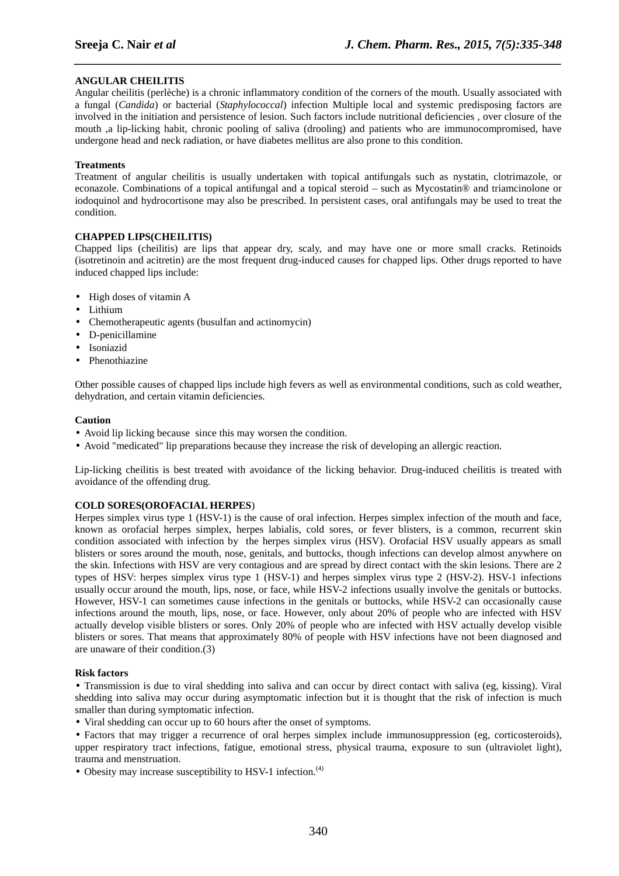## **ANGULAR CHEILITIS**

Angular cheilitis (perlèche) is a chronic inflammatory condition of the corners of the mouth. Usually associated with a fungal (*Candida*) or bacterial (*Staphylococcal*) infection Multiple local and systemic predisposing factors are involved in the initiation and persistence of lesion. Such factors include nutritional deficiencies , over closure of the mouth ,a lip-licking habit, chronic pooling of saliva (drooling) and patients who are immunocompromised, have undergone head and neck radiation, or have diabetes mellitus are also prone to this condition.

*\_\_\_\_\_\_\_\_\_\_\_\_\_\_\_\_\_\_\_\_\_\_\_\_\_\_\_\_\_\_\_\_\_\_\_\_\_\_\_\_\_\_\_\_\_\_\_\_\_\_\_\_\_\_\_\_\_\_\_\_\_\_\_\_\_\_\_\_\_\_\_\_\_\_\_\_\_\_*

## **Treatments**

Treatment of angular cheilitis is usually undertaken with topical antifungals such as nystatin, clotrimazole, or econazole. Combinations of a topical antifungal and a topical steroid – such as Mycostatin® and triamcinolone or iodoquinol and hydrocortisone may also be prescribed. In persistent cases, oral antifungals may be used to treat the condition.

## **CHAPPED LIPS(CHEILITIS)**

Chapped lips (cheilitis) are lips that appear dry, scaly, and may have one or more small cracks. Retinoids (isotretinoin and acitretin) are the most frequent drug-induced causes for chapped lips. Other drugs reported to have induced chapped lips include:

- High doses of vitamin A
- Lithium
- Chemotherapeutic agents (busulfan and actinomycin)
- D-penicillamine
- Isoniazid
- Phenothiazine

Other possible causes of chapped lips include high fevers as well as environmental conditions, such as cold weather, dehydration, and certain vitamin deficiencies.

#### **Caution**

- Avoid lip licking because since this may worsen the condition.
- Avoid "medicated" lip preparations because they increase the risk of developing an allergic reaction.

Lip-licking cheilitis is best treated with avoidance of the licking behavior. Drug-induced cheilitis is treated with avoidance of the offending drug.

## **COLD SORES(OROFACIAL HERPES**)

Herpes simplex virus type 1 (HSV-1) is the cause of oral infection. Herpes simplex infection of the mouth and face, known as orofacial herpes simplex, herpes labialis, cold sores, or fever blisters, is a common, recurrent skin condition associated with infection by the herpes simplex virus (HSV). Orofacial HSV usually appears as small blisters or sores around the mouth, nose, genitals, and buttocks, though infections can develop almost anywhere on the skin. Infections with HSV are very contagious and are spread by direct contact with the skin lesions. There are 2 types of HSV: herpes simplex virus type 1 (HSV-1) and herpes simplex virus type 2 (HSV-2). HSV-1 infections usually occur around the mouth, lips, nose, or face, while HSV-2 infections usually involve the genitals or buttocks. However, HSV-1 can sometimes cause infections in the genitals or buttocks, while HSV-2 can occasionally cause infections around the mouth, lips, nose, or face. However, only about 20% of people who are infected with HSV actually develop visible blisters or sores. Only 20% of people who are infected with HSV actually develop visible blisters or sores. That means that approximately 80% of people with HSV infections have not been diagnosed and are unaware of their condition.(3)

#### **Risk factors**

• Transmission is due to viral shedding into saliva and can occur by direct contact with saliva (eg, kissing). Viral shedding into saliva may occur during asymptomatic infection but it is thought that the risk of infection is much smaller than during symptomatic infection.

• Viral shedding can occur up to 60 hours after the onset of symptoms.

• Factors that may trigger a recurrence of oral herpes simplex include immunosuppression (eg, corticosteroids), upper respiratory tract infections, fatigue, emotional stress, physical trauma, exposure to sun (ultraviolet light), trauma and menstruation.

• Obesity may increase susceptibility to HSV-1 infection.<sup>(4)</sup>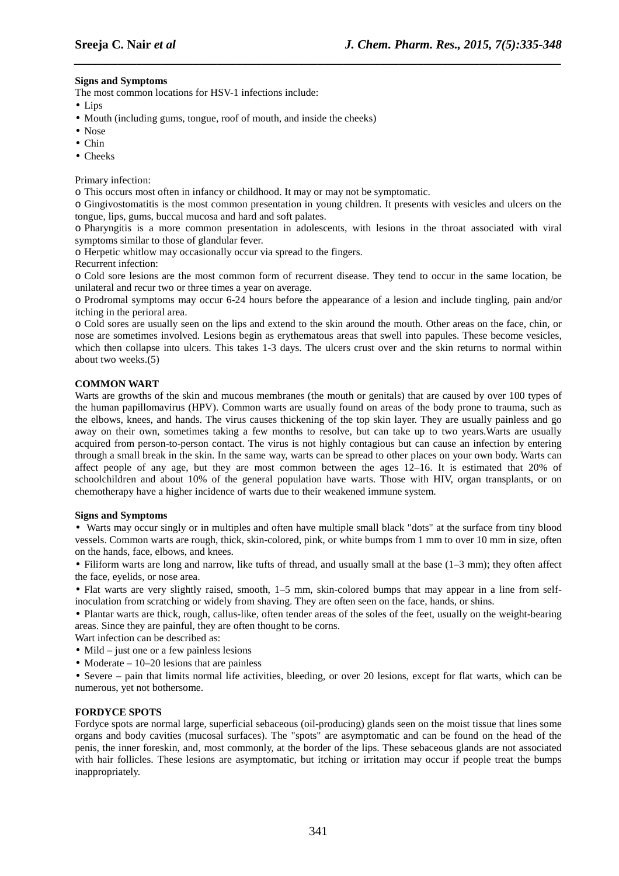#### **Signs and Symptoms**

The most common locations for HSV-1 infections include:

- Lips
- Mouth (including gums, tongue, roof of mouth, and inside the cheeks)
- Nose
- Chin
- Cheeks

#### Primary infection:

o This occurs most often in infancy or childhood. It may or may not be symptomatic.

o Gingivostomatitis is the most common presentation in young children. It presents with vesicles and ulcers on the tongue, lips, gums, buccal mucosa and hard and soft palates.

*\_\_\_\_\_\_\_\_\_\_\_\_\_\_\_\_\_\_\_\_\_\_\_\_\_\_\_\_\_\_\_\_\_\_\_\_\_\_\_\_\_\_\_\_\_\_\_\_\_\_\_\_\_\_\_\_\_\_\_\_\_\_\_\_\_\_\_\_\_\_\_\_\_\_\_\_\_\_*

o Pharyngitis is a more common presentation in adolescents, with lesions in the throat associated with viral symptoms similar to those of glandular fever.

o Herpetic whitlow may occasionally occur via spread to the fingers.

Recurrent infection:

o Cold sore lesions are the most common form of recurrent disease. They tend to occur in the same location, be unilateral and recur two or three times a year on average.

o Prodromal symptoms may occur 6-24 hours before the appearance of a lesion and include tingling, pain and/or itching in the perioral area.

o Cold sores are usually seen on the lips and extend to the skin around the mouth. Other areas on the face, chin, or nose are sometimes involved. Lesions begin as erythematous areas that swell into papules. These become vesicles, which then collapse into ulcers. This takes 1-3 days. The ulcers crust over and the skin returns to normal within about two weeks.(5)

## **COMMON WART**

Warts are growths of the skin and mucous membranes (the mouth or genitals) that are caused by over 100 types of the human papillomavirus (HPV). Common warts are usually found on areas of the body prone to trauma, such as the elbows, knees, and hands. The virus causes thickening of the top skin layer. They are usually painless and go away on their own, sometimes taking a few months to resolve, but can take up to two years.Warts are usually acquired from person-to-person contact. The virus is not highly contagious but can cause an infection by entering through a small break in the skin. In the same way, warts can be spread to other places on your own body. Warts can affect people of any age, but they are most common between the ages 12–16. It is estimated that 20% of schoolchildren and about 10% of the general population have warts. Those with HIV, organ transplants, or on chemotherapy have a higher incidence of warts due to their weakened immune system.

#### **Signs and Symptoms**

• Warts may occur singly or in multiples and often have multiple small black "dots" at the surface from tiny blood vessels. Common warts are rough, thick, skin-colored, pink, or white bumps from 1 mm to over 10 mm in size, often on the hands, face, elbows, and knees.

• Filiform warts are long and narrow, like tufts of thread, and usually small at the base  $(1-3 \text{ mm})$ ; they often affect the face, eyelids, or nose area.

• Flat warts are very slightly raised, smooth, 1–5 mm, skin-colored bumps that may appear in a line from selfinoculation from scratching or widely from shaving. They are often seen on the face, hands, or shins.

• Plantar warts are thick, rough, callus-like, often tender areas of the soles of the feet, usually on the weight-bearing areas. Since they are painful, they are often thought to be corns.

Wart infection can be described as:

- Mild just one or a few painless lesions
- Moderate  $-10-20$  lesions that are painless

• Severe – pain that limits normal life activities, bleeding, or over 20 lesions, except for flat warts, which can be numerous, yet not bothersome.

#### **FORDYCE SPOTS**

Fordyce spots are normal large, superficial sebaceous (oil-producing) glands seen on the moist tissue that lines some organs and body cavities (mucosal surfaces). The "spots" are asymptomatic and can be found on the head of the penis, the inner foreskin, and, most commonly, at the border of the lips. These sebaceous glands are not associated with hair follicles. These lesions are asymptomatic, but itching or irritation may occur if people treat the bumps inappropriately.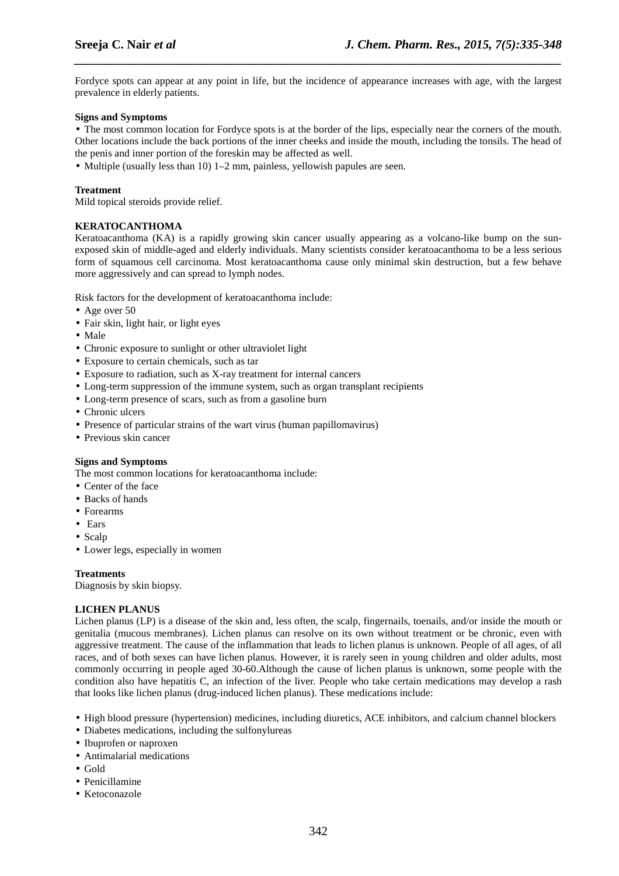Fordyce spots can appear at any point in life, but the incidence of appearance increases with age, with the largest prevalence in elderly patients.

*\_\_\_\_\_\_\_\_\_\_\_\_\_\_\_\_\_\_\_\_\_\_\_\_\_\_\_\_\_\_\_\_\_\_\_\_\_\_\_\_\_\_\_\_\_\_\_\_\_\_\_\_\_\_\_\_\_\_\_\_\_\_\_\_\_\_\_\_\_\_\_\_\_\_\_\_\_\_*

#### **Signs and Symptoms**

• The most common location for Fordyce spots is at the border of the lips, especially near the corners of the mouth. Other locations include the back portions of the inner cheeks and inside the mouth, including the tonsils. The head of the penis and inner portion of the foreskin may be affected as well.

• Multiple (usually less than 10) 1–2 mm, painless, yellowish papules are seen.

#### **Treatment**

Mild topical steroids provide relief.

## **KERATOCANTHOMA**

Keratoacanthoma (KA) is a rapidly growing skin cancer usually appearing as a volcano-like bump on the sunexposed skin of middle-aged and elderly individuals. Many scientists consider keratoacanthoma to be a less serious form of squamous cell carcinoma. Most keratoacanthoma cause only minimal skin destruction, but a few behave more aggressively and can spread to lymph nodes.

Risk factors for the development of keratoacanthoma include:

- Age over 50
- Fair skin, light hair, or light eyes
- Male
- Chronic exposure to sunlight or other ultraviolet light
- Exposure to certain chemicals, such as tar
- Exposure to radiation, such as X-ray treatment for internal cancers
- Long-term suppression of the immune system, such as organ transplant recipients
- Long-term presence of scars, such as from a gasoline burn
- Chronic ulcers
- Presence of particular strains of the wart virus (human papillomavirus)
- Previous skin cancer

#### **Signs and Symptoms**

The most common locations for keratoacanthoma include:

- Center of the face
- Backs of hands
- Forearms
- Ears
- Scalp
- Lower legs, especially in women

#### **Treatments**

Diagnosis by skin biopsy.

## **LICHEN PLANUS**

Lichen planus (LP) is a disease of the skin and, less often, the scalp, fingernails, toenails, and/or inside the mouth or genitalia (mucous membranes). Lichen planus can resolve on its own without treatment or be chronic, even with aggressive treatment. The cause of the inflammation that leads to lichen planus is unknown. People of all ages, of all races, and of both sexes can have lichen planus. However, it is rarely seen in young children and older adults, most commonly occurring in people aged 30-60.Although the cause of lichen planus is unknown, some people with the condition also have hepatitis C, an infection of the liver. People who take certain medications may develop a rash that looks like lichen planus (drug-induced lichen planus). These medications include:

- High blood pressure (hypertension) medicines, including diuretics, ACE inhibitors, and calcium channel blockers
- Diabetes medications, including the sulfonylureas
- Ibuprofen or naproxen
- Antimalarial medications
- Gold
- Penicillamine
- Ketoconazole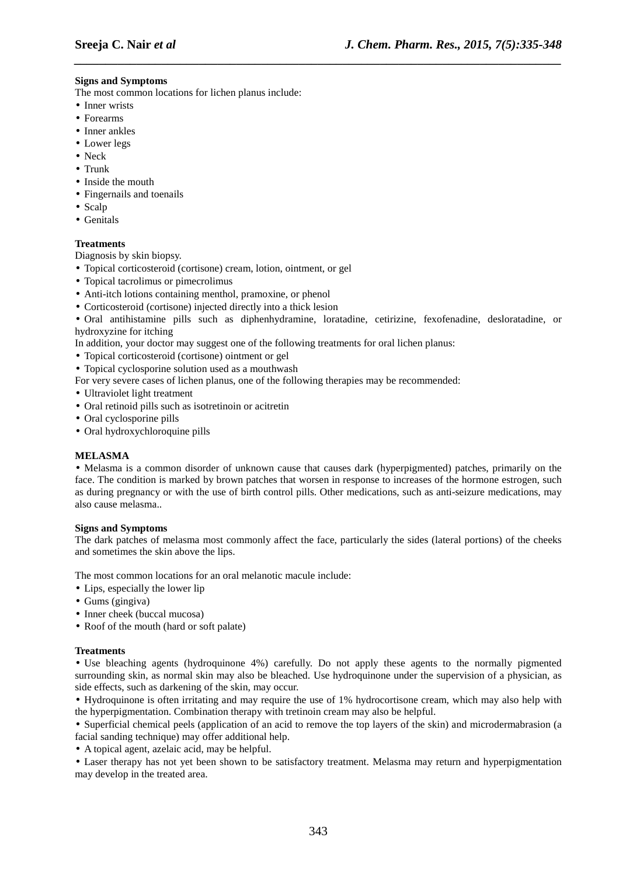## **Signs and Symptoms**

The most common locations for lichen planus include:

- Inner wrists
- Forearms
- Inner ankles
- Lower legs
- Neck
- Trunk
- Inside the mouth
- Fingernails and toenails
- Scalp
- Genitals

## **Treatments**

Diagnosis by skin biopsy.

• Topical corticosteroid (cortisone) cream, lotion, ointment, or gel

- Topical tacrolimus or pimecrolimus
- Anti-itch lotions containing menthol, pramoxine, or phenol
- Corticosteroid (cortisone) injected directly into a thick lesion

• Oral antihistamine pills such as diphenhydramine, loratadine, cetirizine, fexofenadine, desloratadine, or hydroxyzine for itching

*\_\_\_\_\_\_\_\_\_\_\_\_\_\_\_\_\_\_\_\_\_\_\_\_\_\_\_\_\_\_\_\_\_\_\_\_\_\_\_\_\_\_\_\_\_\_\_\_\_\_\_\_\_\_\_\_\_\_\_\_\_\_\_\_\_\_\_\_\_\_\_\_\_\_\_\_\_\_*

In addition, your doctor may suggest one of the following treatments for oral lichen planus:

- Topical corticosteroid (cortisone) ointment or gel
- Topical cyclosporine solution used as a mouthwash
- For very severe cases of lichen planus, one of the following therapies may be recommended:
- Ultraviolet light treatment
- Oral retinoid pills such as isotretinoin or acitretin
- Oral cyclosporine pills
- Oral hydroxychloroquine pills

## **MELASMA**

• Melasma is a common disorder of unknown cause that causes dark (hyperpigmented) patches, primarily on the face. The condition is marked by brown patches that worsen in response to increases of the hormone estrogen, such as during pregnancy or with the use of birth control pills. Other medications, such as anti-seizure medications, may also cause melasma..

## **Signs and Symptoms**

The dark patches of melasma most commonly affect the face, particularly the sides (lateral portions) of the cheeks and sometimes the skin above the lips.

The most common locations for an oral melanotic macule include:

- Lips, especially the lower lip
- Gums (gingiva)
- Inner cheek (buccal mucosa)
- Roof of the mouth (hard or soft palate)

## **Treatments**

• Use bleaching agents (hydroquinone 4%) carefully. Do not apply these agents to the normally pigmented surrounding skin, as normal skin may also be bleached. Use hydroquinone under the supervision of a physician, as side effects, such as darkening of the skin, may occur.

• Hydroquinone is often irritating and may require the use of 1% hydrocortisone cream, which may also help with the hyperpigmentation. Combination therapy with tretinoin cream may also be helpful.

• Superficial chemical peels (application of an acid to remove the top layers of the skin) and microdermabrasion (a facial sanding technique) may offer additional help.

• A topical agent, azelaic acid, may be helpful.

• Laser therapy has not yet been shown to be satisfactory treatment. Melasma may return and hyperpigmentation may develop in the treated area.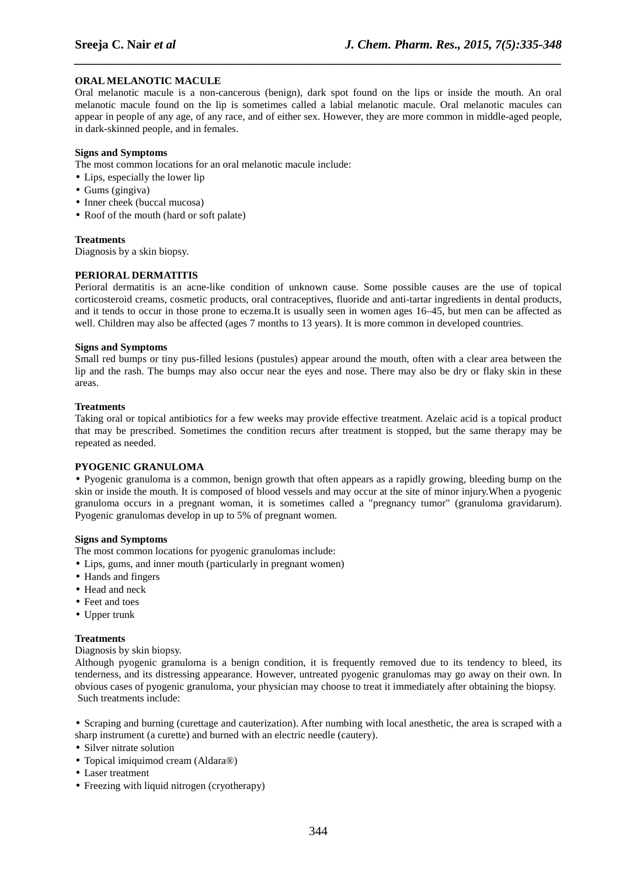## **ORAL MELANOTIC MACULE**

Oral melanotic macule is a non-cancerous (benign), dark spot found on the lips or inside the mouth. An oral melanotic macule found on the lip is sometimes called a labial melanotic macule. Oral melanotic macules can appear in people of any age, of any race, and of either sex. However, they are more common in middle-aged people, in dark-skinned people, and in females.

*\_\_\_\_\_\_\_\_\_\_\_\_\_\_\_\_\_\_\_\_\_\_\_\_\_\_\_\_\_\_\_\_\_\_\_\_\_\_\_\_\_\_\_\_\_\_\_\_\_\_\_\_\_\_\_\_\_\_\_\_\_\_\_\_\_\_\_\_\_\_\_\_\_\_\_\_\_\_*

## **Signs and Symptoms**

The most common locations for an oral melanotic macule include:

- Lips, especially the lower lip
- Gums (gingiva)
- Inner cheek (buccal mucosa)
- Roof of the mouth (hard or soft palate)

#### **Treatments**

Diagnosis by a skin biopsy.

## **PERIORAL DERMATITIS**

Perioral dermatitis is an acne-like condition of unknown cause. Some possible causes are the use of topical corticosteroid creams, cosmetic products, oral contraceptives, fluoride and anti-tartar ingredients in dental products, and it tends to occur in those prone to eczema.It is usually seen in women ages 16–45, but men can be affected as well. Children may also be affected (ages 7 months to 13 years). It is more common in developed countries.

#### **Signs and Symptoms**

Small red bumps or tiny pus-filled lesions (pustules) appear around the mouth, often with a clear area between the lip and the rash. The bumps may also occur near the eyes and nose. There may also be dry or flaky skin in these areas.

#### **Treatments**

Taking oral or topical antibiotics for a few weeks may provide effective treatment. Azelaic acid is a topical product that may be prescribed. Sometimes the condition recurs after treatment is stopped, but the same therapy may be repeated as needed.

## **PYOGENIC GRANULOMA**

• Pyogenic granuloma is a common, benign growth that often appears as a rapidly growing, bleeding bump on the skin or inside the mouth. It is composed of blood vessels and may occur at the site of minor injury.When a pyogenic granuloma occurs in a pregnant woman, it is sometimes called a "pregnancy tumor" (granuloma gravidarum). Pyogenic granulomas develop in up to 5% of pregnant women.

#### **Signs and Symptoms**

The most common locations for pyogenic granulomas include:

- Lips, gums, and inner mouth (particularly in pregnant women)
- Hands and fingers
- Head and neck
- Feet and toes
- Upper trunk

## **Treatments**

Diagnosis by skin biopsy.

Although pyogenic granuloma is a benign condition, it is frequently removed due to its tendency to bleed, its tenderness, and its distressing appearance. However, untreated pyogenic granulomas may go away on their own. In obvious cases of pyogenic granuloma, your physician may choose to treat it immediately after obtaining the biopsy. Such treatments include:

• Scraping and burning (curettage and cauterization). After numbing with local anesthetic, the area is scraped with a sharp instrument (a curette) and burned with an electric needle (cautery).

- Silver nitrate solution
- Topical imiquimod cream (Aldara®)
- Laser treatment
- Freezing with liquid nitrogen (cryotherapy)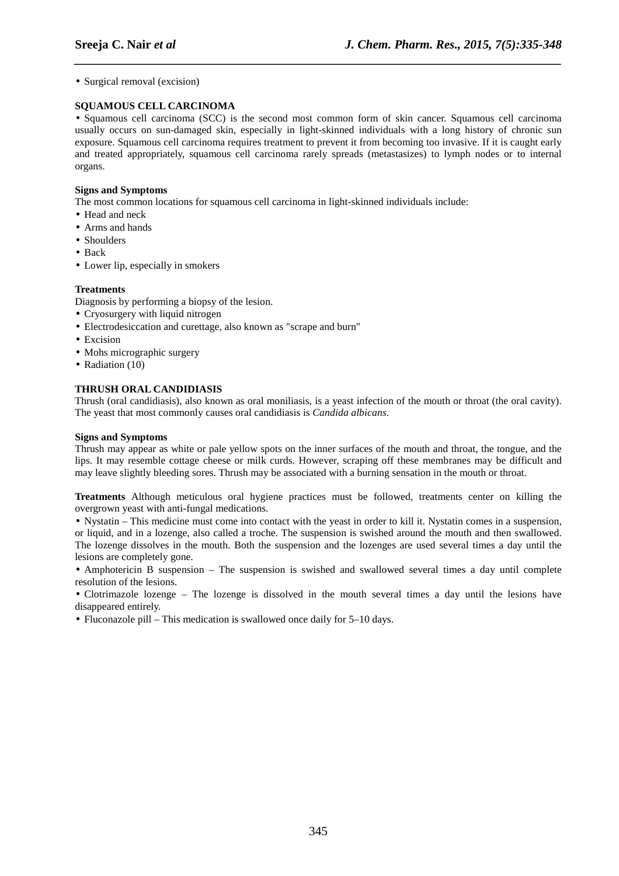• Surgical removal (excision)

## **SQUAMOUS CELL CARCINOMA**

• Squamous cell carcinoma (SCC) is the second most common form of skin cancer. Squamous cell carcinoma usually occurs on sun-damaged skin, especially in light-skinned individuals with a long history of chronic sun exposure. Squamous cell carcinoma requires treatment to prevent it from becoming too invasive. If it is caught early and treated appropriately, squamous cell carcinoma rarely spreads (metastasizes) to lymph nodes or to internal organs.

*\_\_\_\_\_\_\_\_\_\_\_\_\_\_\_\_\_\_\_\_\_\_\_\_\_\_\_\_\_\_\_\_\_\_\_\_\_\_\_\_\_\_\_\_\_\_\_\_\_\_\_\_\_\_\_\_\_\_\_\_\_\_\_\_\_\_\_\_\_\_\_\_\_\_\_\_\_\_*

#### **Signs and Symptoms**

The most common locations for squamous cell carcinoma in light-skinned individuals include:

- Head and neck
- Arms and hands
- Shoulders
- Back
- Lower lip, especially in smokers

#### **Treatments**

Diagnosis by performing a biopsy of the lesion.

- Cryosurgery with liquid nitrogen
- Electrodesiccation and curettage, also known as "scrape and burn"
- Excision
- Mohs micrographic surgery
- Radiation (10)

## **THRUSH ORAL CANDIDIASIS**

Thrush (oral candidiasis), also known as oral moniliasis, is a yeast infection of the mouth or throat (the oral cavity). The yeast that most commonly causes oral candidiasis is *Candida albicans*.

#### **Signs and Symptoms**

Thrush may appear as white or pale yellow spots on the inner surfaces of the mouth and throat, the tongue, and the lips. It may resemble cottage cheese or milk curds. However, scraping off these membranes may be difficult and may leave slightly bleeding sores. Thrush may be associated with a burning sensation in the mouth or throat.

**Treatments** Although meticulous oral hygiene practices must be followed, treatments center on killing the overgrown yeast with anti-fungal medications.

• Nystatin – This medicine must come into contact with the yeast in order to kill it. Nystatin comes in a suspension, or liquid, and in a lozenge, also called a troche. The suspension is swished around the mouth and then swallowed. The lozenge dissolves in the mouth. Both the suspension and the lozenges are used several times a day until the lesions are completely gone.

• Amphotericin B suspension – The suspension is swished and swallowed several times a day until complete resolution of the lesions.

• Clotrimazole lozenge – The lozenge is dissolved in the mouth several times a day until the lesions have disappeared entirely.

• Fluconazole pill – This medication is swallowed once daily for 5–10 days.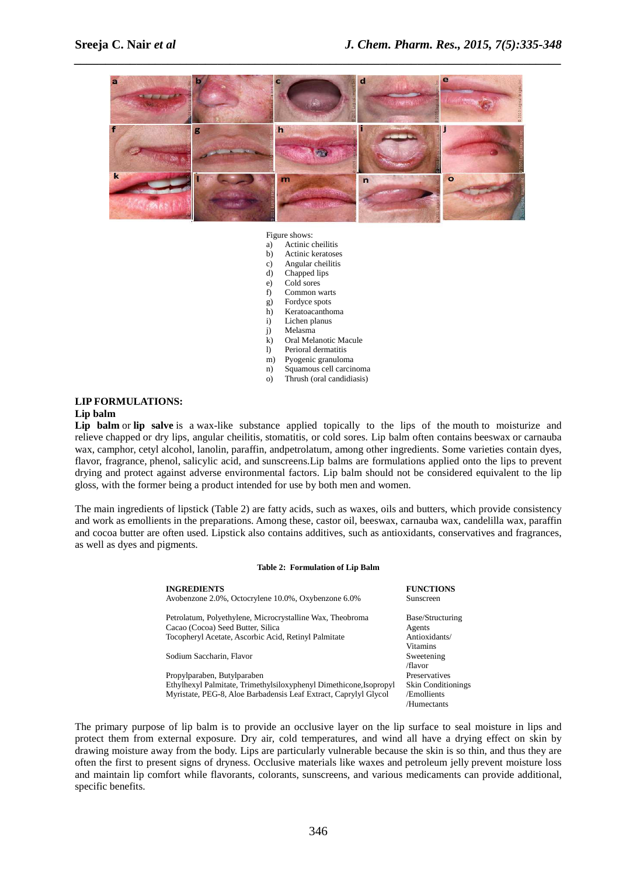

#### Figure shows:

- a) Actinic cheilitis<br>
b) Actinic keratose
- b) Actinic keratoses
- c) Angular cheilitis
- d) Chapped lips
- e) Cold sores
- f) Common warts
- g) Fordyce spots
- h) Keratoacanthoma
- i) Lichen planus
- j) Melasma
- k) Oral Melanotic Macule
- l) Perioral dermatitis
- m) Pyogenic granuloma
- n) Squamous cell carcinoma
- o) Thrush (oral candidiasis)

## **LIP FORMULATIONS:**

## **Lip balm**

**Lip balm** or **lip salve** is a wax-like substance applied topically to the lips of the mouth to moisturize and relieve chapped or dry lips, angular cheilitis, stomatitis, or cold sores. Lip balm often contains beeswax or carnauba wax, camphor, cetyl alcohol, lanolin, paraffin, andpetrolatum, among other ingredients. Some varieties contain dyes, flavor, fragrance, phenol, salicylic acid, and sunscreens.Lip balms are formulations applied onto the lips to prevent drying and protect against adverse environmental factors. Lip balm should not be considered equivalent to the lip gloss, with the former being a product intended for use by both men and women.

The main ingredients of lipstick (Table 2) are fatty acids, such as waxes, oils and butters, which provide consistency and work as emollients in the preparations. Among these, castor oil, beeswax, carnauba wax, candelilla wax, paraffin and cocoa butter are often used. Lipstick also contains additives, such as antioxidants, conservatives and fragrances, as well as dyes and pigments.

#### **Table 2: Formulation of Lip Balm**

| <b>INGREDIENTS</b><br>Avobenzone 2.0%, Octocrylene 10.0%, Oxybenzone 6.0% | <b>FUNCTIONS</b><br>Sunscreen |
|---------------------------------------------------------------------------|-------------------------------|
| Petrolatum, Polyethylene, Microcrystalline Wax, Theobroma                 | Base/Structuring              |
| Cacao (Cocoa) Seed Butter, Silica                                         | Agents                        |
| Tocopheryl Acetate, Ascorbic Acid, Retinyl Palmitate                      | Antioxidants/                 |
|                                                                           | Vitamins                      |
| Sodium Saccharin, Flavor                                                  | Sweetening                    |
|                                                                           | /flavor                       |
| Propylparaben, Butylparaben                                               | Preservatives                 |
| Ethylhexyl Palmitate, Trimethylsiloxyphenyl Dimethicone, Isopropyl        | <b>Skin Conditionings</b>     |
| Myristate, PEG-8, Aloe Barbadensis Leaf Extract, Caprylyl Glycol          | /Emollients                   |
|                                                                           | /Humectants                   |
|                                                                           |                               |

The primary purpose of lip balm is to provide an occlusive layer on the lip surface to seal moisture in lips and protect them from external exposure. Dry air, cold temperatures, and wind all have a drying effect on skin by drawing moisture away from the body. Lips are particularly vulnerable because the skin is so thin, and thus they are often the first to present signs of dryness. Occlusive materials like waxes and petroleum jelly prevent moisture loss and maintain lip comfort while flavorants, colorants, sunscreens, and various medicaments can provide additional, specific benefits.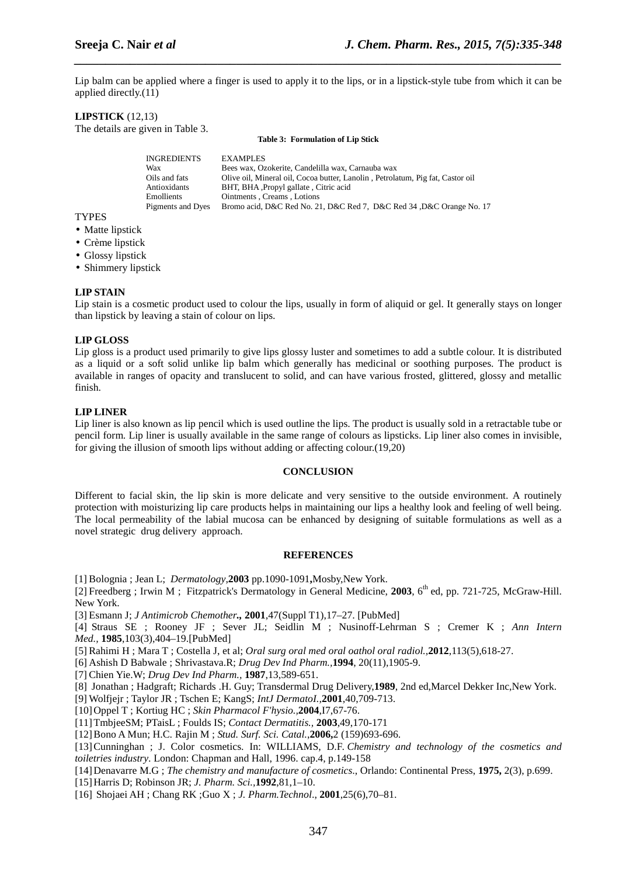Lip balm can be applied where a finger is used to apply it to the lips, or in a lipstick-style tube from which it can be applied directly.(11)

*\_\_\_\_\_\_\_\_\_\_\_\_\_\_\_\_\_\_\_\_\_\_\_\_\_\_\_\_\_\_\_\_\_\_\_\_\_\_\_\_\_\_\_\_\_\_\_\_\_\_\_\_\_\_\_\_\_\_\_\_\_\_\_\_\_\_\_\_\_\_\_\_\_\_\_\_\_\_*

#### **LIPSTICK** (12,13)

The details are given in Table 3.

**Table 3: Formulation of Lip Stick** 

| <b>INGREDIENTS</b> | <b>EXAMPLES</b>                                                                |
|--------------------|--------------------------------------------------------------------------------|
| Wax                | Bees wax, Ozokerite, Candelilla wax, Carnauba wax                              |
| Oils and fats      | Olive oil, Mineral oil, Cocoa butter, Lanolin, Petrolatum, Pig fat, Castor oil |
| Antioxidants       | BHT, BHA Propyl gallate, Citric acid                                           |
| <b>Emollients</b>  | Ointments Creams Lotions                                                       |
| Pigments and Dyes  | Bromo acid, D&C Red No. 21, D&C Red 7, D&C Red 34, D&C Orange No. 17           |
|                    |                                                                                |

- **TYPES**
- Matte lipstick
- Crème lipstick
- Glossy lipstick
- Shimmery lipstick

#### **LIP STAIN**

Lip stain is a cosmetic product used to colour the lips, usually in form of aliquid or gel. It generally stays on longer than lipstick by leaving a stain of colour on lips.

#### **LIP GLOSS**

Lip gloss is a product used primarily to give lips glossy luster and sometimes to add a subtle colour. It is distributed as a liquid or a soft solid unlike lip balm which generally has medicinal or soothing purposes. The product is available in ranges of opacity and translucent to solid, and can have various frosted, glittered, glossy and metallic finish.

#### **LIP LINER**

Lip liner is also known as lip pencil which is used outline the lips. The product is usually sold in a retractable tube or pencil form. Lip liner is usually available in the same range of colours as lipsticks. Lip liner also comes in invisible, for giving the illusion of smooth lips without adding or affecting colour.(19,20)

#### **CONCLUSION**

Different to facial skin, the lip skin is more delicate and very sensitive to the outside environment. A routinely protection with moisturizing lip care products helps in maintaining our lips a healthy look and feeling of well being. The local permeability of the labial mucosa can be enhanced by designing of suitable formulations as well as a novel strategic drug delivery approach.

#### **REFERENCES**

[1] Bolognia ; Jean L; *Dermatology*,**2003** pp.1090-1091**,**Mosby,New York.

[2] Freedberg ; Irwin M ; Fitzpatrick's Dermatology in General Medicine, 2003, 6<sup>th</sup> ed, pp. 721-725, McGraw-Hill. New York.

[3] Esmann J; *J Antimicrob Chemother.,* **2001**,47(Suppl T1),17–27. [PubMed]

[4] Straus SE ; Rooney JF ; Sever JL; Seidlin M ; Nusinoff-Lehrman S ; Cremer K ; *Ann Intern Med.,* **1985**,103(3),404–19.[PubMed]

[5] Rahimi H ; Mara T ; Costella J, et al; *Oral surg oral med oral oathol oral radiol.,***2012**,113(5),618-27.

[6] Ashish D Babwale ; Shrivastava.R; *Drug Dev Ind Pharm.,***1994**, 20(11),1905-9.

[7] Chien Yie.W; *Drug Dev Ind Pharm.,* **1987**,13,589-651.

[8] Jonathan ; Hadgraft; Richards .H. Guy; Transdermal Drug Delivery,**1989**, 2nd ed,Marcel Dekker Inc,New York.

[9] Wolfjejr ; Taylor JR ; Tschen E; KangS; *IntJ DermatoI.,***2001**,40,709-713.

[10]Oppel T ; Kortiug HC ; *Skin Pharmacol F'hysio.,***2004**,I7,67-76.

[11]TmbjeeSM; PTaisL ; Foulds IS; *Contact Dermatitis.,* **2003**,49,170-171

[12]Bono A Mun; H.C. Rajin M ; *Stud. Surf. Sci. Catal.*,**2006,**2 (159)693-696.

[13]Cunninghan ; J. Color cosmetics. In: WILLIAMS, D.F. *Chemistry and technology of the cosmetics and toiletries industry*. London: Chapman and Hall, 1996. cap.4, p.149-158

[14]Denavarre M.G ; *The chemistry and manufacture of cosmetics*., Orlando: Continental Press, **1975,** 2(3), p.699.

[15]Harris D; Robinson JR; *J. Pharm. Sci.,***1992**,81,1–10.

[16] Shojaei AH ; Chang RK ;Guo X ; *J. Pharm.Technol*., **2001**,25(6),70–81.